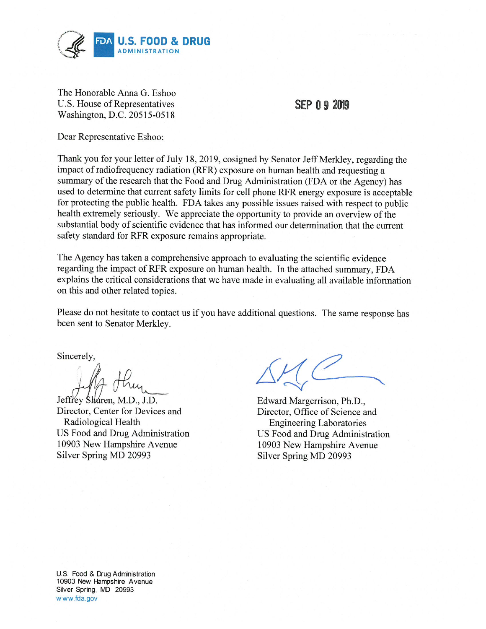

The Honorable Anna G. Eshoo U.S. House of Representatives Washington, D.C. 20515-0518

## **SEP 0 9 2019**

Dear Representative Eshoo:

Thank you for your letter of July 18, 2019, cosigned by Senator Jeff Merkley, regarding the impact of radiofrequency radiation (RFR) exposure on human health and requesting a summary of the research that the Food and Drug Administration (FDA or the Agency) has used to determine that current safety limits for cell phone RFR energy exposure is acceptable for protecting the public health. FDA takes any possible issues raised with respect to public health extremely seriously. We appreciate the opportunity to provide an overview of the substantial body of scientific evidence that has informed our determination that the current safety standard for RFR exposure remains appropriate.

The Agency has taken a comprehensive approach to evaluating the scientific evidence regarding the impact of RFR exposure on human health. In the attached summary, FDA explains the critical considerations that we have made in evaluating all available information on this and other related topics.

Please do not hesitate to contact us if you have additional questions. The same response has been sent to Senator Merkley.

Sincerely,

Jeffrey Sharen, M.D., J.D. Director, Center for Devices and Radiological Health US Food and Drug Administration 10903 New Hampshire Avenue Silver Spring MD 20993

Edward Margerrison, Ph.D., Director, Office of Science and **Engineering Laboratories** US Food and Drug Administration 10903 New Hampshire Avenue Silver Spring MD 20993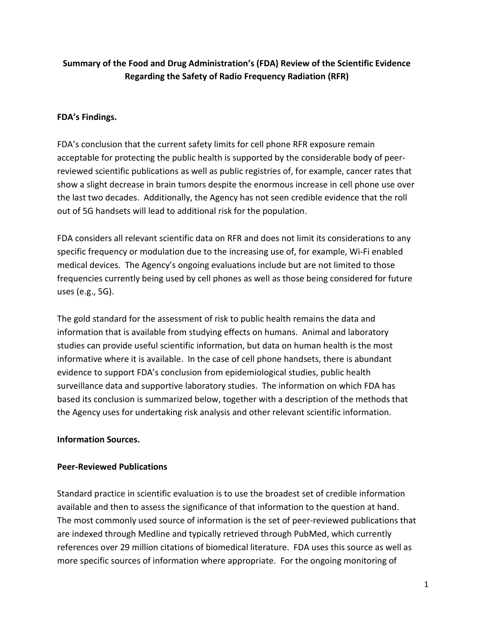# **Summary of the Food and Drug Administration's (FDA) Review of the Scientific Evidence Regarding the Safety of Radio Frequency Radiation (RFR)**

## **FDA's Findings.**

FDA's conclusion that the current safety limits for cell phone RFR exposure remain acceptable for protecting the public health is supported by the considerable body of peerreviewed scientific publications as well as public registries of, for example, cancer rates that show a slight decrease in brain tumors despite the enormous increase in cell phone use over the last two decades. Additionally, the Agency has not seen credible evidence that the roll out of 5G handsets will lead to additional risk for the population.

FDA considers all relevant scientific data on RFR and does not limit its considerations to any specific frequency or modulation due to the increasing use of, for example, Wi-Fi enabled medical devices. The Agency's ongoing evaluations include but are not limited to those frequencies currently being used by cell phones as well as those being considered for future uses (e.g., 5G).

The gold standard for the assessment of risk to public health remains the data and information that is available from studying effects on humans. Animal and laboratory studies can provide useful scientific information, but data on human health is the most informative where it is available. In the case of cell phone handsets, there is abundant evidence to support FDA's conclusion from epidemiological studies, public health surveillance data and supportive laboratory studies. The information on which FDA has based its conclusion is summarized below, together with a description of the methods that the Agency uses for undertaking risk analysis and other relevant scientific information.

#### **Information Sources.**

#### **Peer-Reviewed Publications**

Standard practice in scientific evaluation is to use the broadest set of credible information available and then to assess the significance of that information to the question at hand. The most commonly used source of information is the set of peer-reviewed publications that are indexed through Medline and typically retrieved through PubMed, which currently references over 29 million citations of biomedical literature. FDA uses this source as well as more specific sources of information where appropriate. For the ongoing monitoring of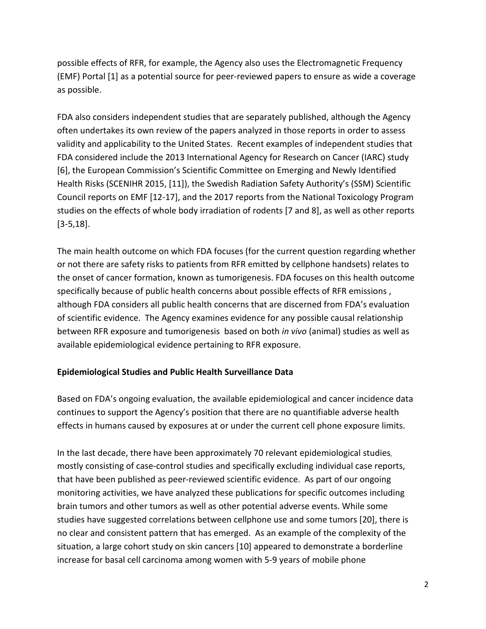possible effects of RFR, for example, the Agency also uses the Electromagnetic Frequency (EMF) Portal [1] as a potential source for peer-reviewed papers to ensure as wide a coverage as possible.

FDA also considers independent studies that are separately published, although the Agency often undertakes its own review of the papers analyzed in those reports in order to assess validity and applicability to the United States. Recent examples of independent studies that FDA considered include the 2013 International Agency for Research on Cancer (IARC) study [6], the European Commission's Scientific Committee on Emerging and Newly Identified Health Risks (SCENIHR 2015, [11]), the Swedish Radiation Safety Authority's (SSM) Scientific Council reports on EMF [12-17], and the 2017 reports from the National Toxicology Program studies on the effects of whole body irradiation of rodents [7 and 8], as well as other reports [3-5,18].

The main health outcome on which FDA focuses (for the current question regarding whether or not there are safety risks to patients from RFR emitted by cellphone handsets) relates to the onset of cancer formation, known as tumorigenesis. FDA focuses on this health outcome specifically because of public health concerns about possible effects of RFR emissions , although FDA considers all public health concerns that are discerned from FDA's evaluation of scientific evidence. The Agency examines evidence for any possible causal relationship between RFR exposure and tumorigenesis based on both *in vivo* (animal) studies as well as available epidemiological evidence pertaining to RFR exposure.

#### **Epidemiological Studies and Public Health Surveillance Data**

Based on FDA's ongoing evaluation, the available epidemiological and cancer incidence data continues to support the Agency's position that there are no quantifiable adverse health effects in humans caused by exposures at or under the current cell phone exposure limits.

In the last decade, there have been approximately 70 relevant epidemiological studies, mostly consisting of case-control studies and specifically excluding individual case reports, that have been published as peer-reviewed scientific evidence. As part of our ongoing monitoring activities, we have analyzed these publications for specific outcomes including brain tumors and other tumors as well as other potential adverse events. While some studies have suggested correlations between cellphone use and some tumors [20], there is no clear and consistent pattern that has emerged. As an example of the complexity of the situation, a large cohort study on skin cancers [10] appeared to demonstrate a borderline increase for basal cell carcinoma among women with 5-9 years of mobile phone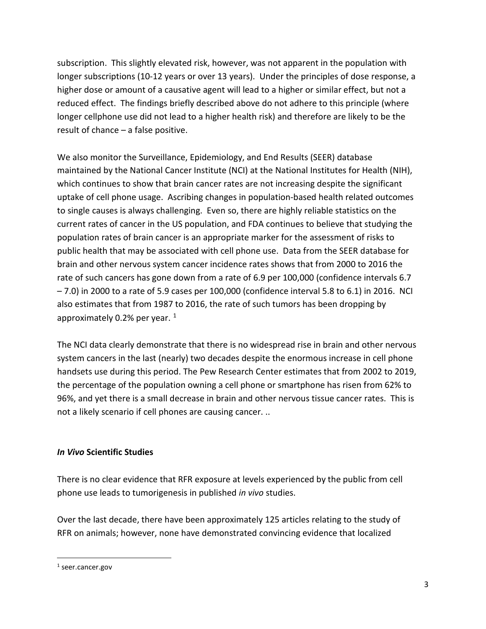subscription. This slightly elevated risk, however, was not apparent in the population with longer subscriptions (10-12 years or over 13 years). Under the principles of dose response, a higher dose or amount of a causative agent will lead to a higher or similar effect, but not a reduced effect. The findings briefly described above do not adhere to this principle (where longer cellphone use did not lead to a higher health risk) and therefore are likely to be the result of chance – a false positive.

We also monitor the Surveillance, Epidemiology, and End Results (SEER) database maintained by the National Cancer Institute (NCI) at the National Institutes for Health (NIH), which continues to show that brain cancer rates are not increasing despite the significant uptake of cell phone usage. Ascribing changes in population-based health related outcomes to single causes is always challenging. Even so, there are highly reliable statistics on the current rates of cancer in the US population, and FDA continues to believe that studying the population rates of brain cancer is an appropriate marker for the assessment of risks to public health that may be associated with cell phone use. Data from the SEER database for brain and other nervous system cancer incidence rates shows that from 2000 to 2016 the rate of such cancers has gone down from a rate of 6.9 per 100,000 (confidence intervals 6.7 – 7.0) in 2000 to a rate of 5.9 cases per 100,000 (confidence interval 5.8 to 6.1) in 2016. NCI also estimates that from 1987 to 2016, the rate of such tumors has been dropping by approximately 0.2% per year.  $1$ 

The NCI data clearly demonstrate that there is no widespread rise in brain and other nervous system cancers in the last (nearly) two decades despite the enormous increase in cell phone handsets use during this period. The Pew Research Center estimates that from 2002 to 2019, the percentage of the population owning a cell phone or smartphone has risen from 62% to 96%, and yet there is a small decrease in brain and other nervous tissue cancer rates. This is not a likely scenario if cell phones are causing cancer. ..

#### *In Vivo* **Scientific Studies**

There is no clear evidence that RFR exposure at levels experienced by the public from cell phone use leads to tumorigenesis in published *in vivo* studies.

Over the last decade, there have been approximately 125 articles relating to the study of RFR on animals; however, none have demonstrated convincing evidence that localized

 <sup>1</sup> seer.cancer.gov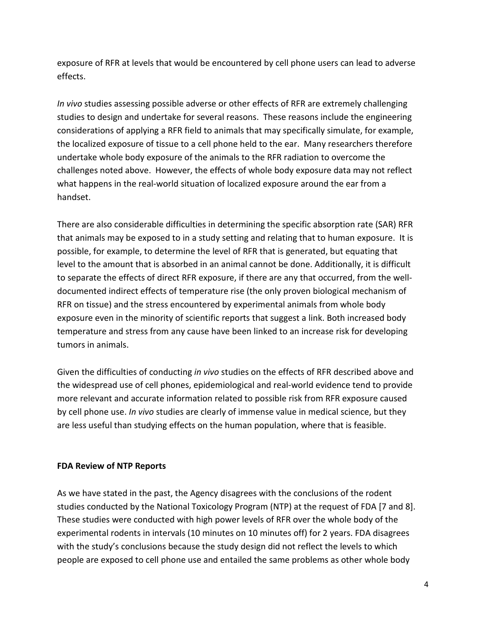exposure of RFR at levels that would be encountered by cell phone users can lead to adverse effects.

*In vivo* studies assessing possible adverse or other effects of RFR are extremely challenging studies to design and undertake for several reasons. These reasons include the engineering considerations of applying a RFR field to animals that may specifically simulate, for example, the localized exposure of tissue to a cell phone held to the ear. Many researchers therefore undertake whole body exposure of the animals to the RFR radiation to overcome the challenges noted above. However, the effects of whole body exposure data may not reflect what happens in the real-world situation of localized exposure around the ear from a handset.

There are also considerable difficulties in determining the specific absorption rate (SAR) RFR that animals may be exposed to in a study setting and relating that to human exposure. It is possible, for example, to determine the level of RFR that is generated, but equating that level to the amount that is absorbed in an animal cannot be done. Additionally, it is difficult to separate the effects of direct RFR exposure, if there are any that occurred, from the welldocumented indirect effects of temperature rise (the only proven biological mechanism of RFR on tissue) and the stress encountered by experimental animals from whole body exposure even in the minority of scientific reports that suggest a link. Both increased body temperature and stress from any cause have been linked to an increase risk for developing tumors in animals.

Given the difficulties of conducting *in vivo* studies on the effects of RFR described above and the widespread use of cell phones, epidemiological and real-world evidence tend to provide more relevant and accurate information related to possible risk from RFR exposure caused by cell phone use. *In vivo* studies are clearly of immense value in medical science, but they are less useful than studying effects on the human population, where that is feasible.

#### **FDA Review of NTP Reports**

As we have stated in the past, the Agency disagrees with the conclusions of the rodent studies conducted by the National Toxicology Program (NTP) at the request of FDA [7 and 8]. These studies were conducted with high power levels of RFR over the whole body of the experimental rodents in intervals (10 minutes on 10 minutes off) for 2 years. FDA disagrees with the study's conclusions because the study design did not reflect the levels to which people are exposed to cell phone use and entailed the same problems as other whole body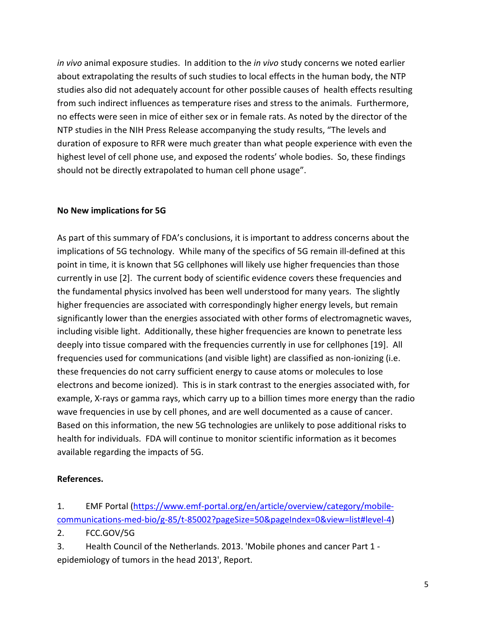*in vivo* animal exposure studies. In addition to the *in vivo* study concerns we noted earlier about extrapolating the results of such studies to local effects in the human body, the NTP studies also did not adequately account for other possible causes of health effects resulting from such indirect influences as temperature rises and stress to the animals. Furthermore, no effects were seen in mice of either sex or in female rats. As noted by the director of the NTP studies in the NIH Press Release accompanying the study results, "The levels and duration of exposure to RFR were much greater than what people experience with even the highest level of cell phone use, and exposed the rodents' whole bodies. So, these findings should not be directly extrapolated to human cell phone usage".

#### **No New implications for 5G**

As part of this summary of FDA's conclusions, it is important to address concerns about the implications of 5G technology. While many of the specifics of 5G remain ill-defined at this point in time, it is known that 5G cellphones will likely use higher frequencies than those currently in use [2]. The current body of scientific evidence covers these frequencies and the fundamental physics involved has been well understood for many years. The slightly higher frequencies are associated with correspondingly higher energy levels, but remain significantly lower than the energies associated with other forms of electromagnetic waves, including visible light. Additionally, these higher frequencies are known to penetrate less deeply into tissue compared with the frequencies currently in use for cellphones [19]. All frequencies used for communications (and visible light) are classified as non-ionizing (i.e. these frequencies do not carry sufficient energy to cause atoms or molecules to lose electrons and become ionized). This is in stark contrast to the energies associated with, for example, X-rays or gamma rays, which carry up to a billion times more energy than the radio wave frequencies in use by cell phones, and are well documented as a cause of cancer. Based on this information, the new 5G technologies are unlikely to pose additional risks to health for individuals. FDA will continue to monitor scientific information as it becomes available regarding the impacts of 5G.

#### **References.**

1. EMF Portal (https://www.emf-portal.org/en/article/overview/category/mobilecommunications-med-bio/g-85/t-85002?pageSize=50&pageIndex=0&view=list#level-4)

2. FCC.GOV/5G

3. Health Council of the Netherlands. 2013. 'Mobile phones and cancer Part 1 epidemiology of tumors in the head 2013', Report.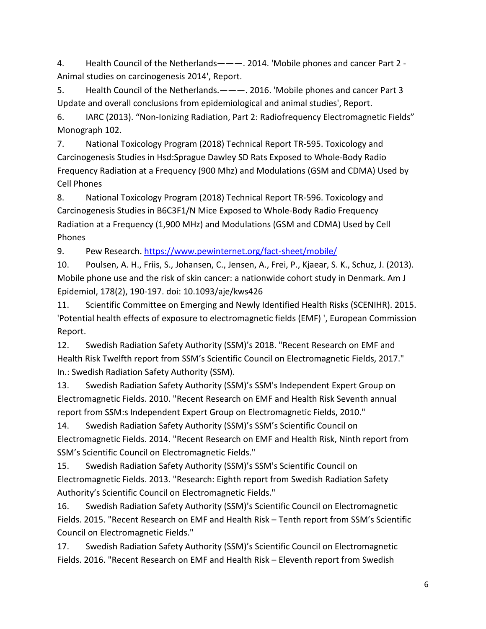4. Health Council of the Netherlands———. 2014. 'Mobile phones and cancer Part 2 - Animal studies on carcinogenesis 2014', Report.

5. Health Council of the Netherlands.———. 2016. 'Mobile phones and cancer Part 3 Update and overall conclusions from epidemiological and animal studies', Report.

6. IARC (2013). "Non-Ionizing Radiation, Part 2: Radiofrequency Electromagnetic Fields" Monograph 102.

7. National Toxicology Program (2018) Technical Report TR-595. Toxicology and Carcinogenesis Studies in Hsd:Sprague Dawley SD Rats Exposed to Whole-Body Radio Frequency Radiation at a Frequency (900 Mhz) and Modulations (GSM and CDMA) Used by Cell Phones

8. National Toxicology Program (2018) Technical Report TR-596. Toxicology and Carcinogenesis Studies in B6C3F1/N Mice Exposed to Whole-Body Radio Frequency Radiation at a Frequency (1,900 MHz) and Modulations (GSM and CDMA) Used by Cell Phones

9. Pew Research. https://www.pewinternet.org/fact-sheet/mobile/

10. Poulsen, A. H., Friis, S., Johansen, C., Jensen, A., Frei, P., Kjaear, S. K., Schuz, J. (2013). Mobile phone use and the risk of skin cancer: a nationwide cohort study in Denmark. Am J Epidemiol, 178(2), 190-197. doi: 10.1093/aje/kws426

11. Scientific Committee on Emerging and Newly Identified Health Risks (SCENIHR). 2015. 'Potential health effects of exposure to electromagnetic fields (EMF) ', European Commission Report.

12. Swedish Radiation Safety Authority (SSM)'s 2018. "Recent Research on EMF and Health Risk Twelfth report from SSM's Scientific Council on Electromagnetic Fields, 2017." In.: Swedish Radiation Safety Authority (SSM).

13. Swedish Radiation Safety Authority (SSM)'s SSM's Independent Expert Group on Electromagnetic Fields. 2010. "Recent Research on EMF and Health Risk Seventh annual report from SSM:s Independent Expert Group on Electromagnetic Fields, 2010."

14. Swedish Radiation Safety Authority (SSM)'s SSM's Scientific Council on Electromagnetic Fields. 2014. "Recent Research on EMF and Health Risk, Ninth report from SSM's Scientific Council on Electromagnetic Fields."

15. Swedish Radiation Safety Authority (SSM)'s SSM's Scientific Council on Electromagnetic Fields. 2013. "Research: Eighth report from Swedish Radiation Safety Authority's Scientific Council on Electromagnetic Fields."

16. Swedish Radiation Safety Authority (SSM)'s Scientific Council on Electromagnetic Fields. 2015. "Recent Research on EMF and Health Risk – Tenth report from SSM's Scientific Council on Electromagnetic Fields."

17. Swedish Radiation Safety Authority (SSM)'s Scientific Council on Electromagnetic Fields. 2016. "Recent Research on EMF and Health Risk – Eleventh report from Swedish